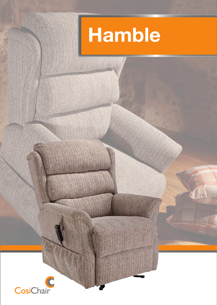

 $\sqrt{14}$